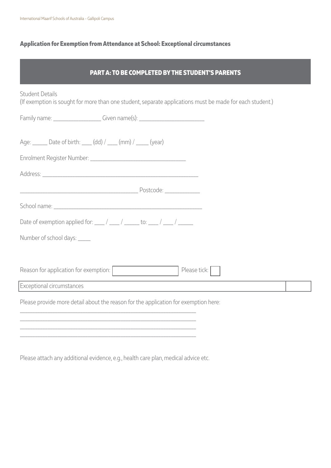## **Application for Exemption from Attendance at School: Exceptional circumstances**

| <b>PART A: TO BE COMPLETED BY THE STUDENT'S PARENTS</b>                                                                            |  |
|------------------------------------------------------------------------------------------------------------------------------------|--|
| <b>Student Details</b><br>(If exemption is sought for more than one student, separate applications must be made for each student.) |  |
| Family name: _____________________Given name(s): _______________________________                                                   |  |
| Age: ______ Date of birth: ____ (dd) / ___ (mm) / ____ (year)                                                                      |  |
|                                                                                                                                    |  |
|                                                                                                                                    |  |
|                                                                                                                                    |  |
|                                                                                                                                    |  |
| Date of exemption applied for: $\frac{1}{2}$ / $\frac{1}{2}$ to: $\frac{1}{2}$ / $\frac{1}{2}$                                     |  |
| Number of school days: _____                                                                                                       |  |
|                                                                                                                                    |  |
| Reason for application for exemption:<br>Please tick:                                                                              |  |
| Exceptional circumstances                                                                                                          |  |
| Please provide more detail about the reason for the application for exemption here:                                                |  |
|                                                                                                                                    |  |
|                                                                                                                                    |  |

Please attach any additional evidence, e.g., health care plan, medical advice etc.